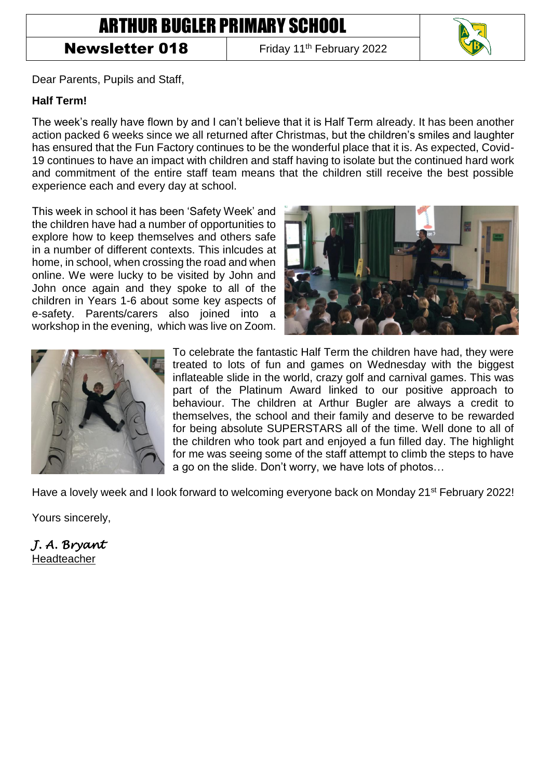## ARTHUR BUGLER PRIMARY SCHOOL

## **Newsletter 018** Friday 11<sup>th</sup> February 2022



Dear Parents, Pupils and Staff,

## **Half Term!**

The week's really have flown by and I can't believe that it is Half Term already. It has been another action packed 6 weeks since we all returned after Christmas, but the children's smiles and laughter has ensured that the Fun Factory continues to be the wonderful place that it is. As expected, Covid-19 continues to have an impact with children and staff having to isolate but the continued hard work and commitment of the entire staff team means that the children still receive the best possible experience each and every day at school.

This week in school it has been 'Safety Week' and the children have had a number of opportunities to explore how to keep themselves and others safe in a number of different contexts. This inlcudes at home, in school, when crossing the road and when online. We were lucky to be visited by John and John once again and they spoke to all of the children in Years 1-6 about some key aspects of e-safety. Parents/carers also joined into a workshop in the evening, which was live on Zoom.





To celebrate the fantastic Half Term the children have had, they were treated to lots of fun and games on Wednesday with the biggest inflateable slide in the world, crazy golf and carnival games. This was part of the Platinum Award linked to our positive approach to behaviour. The children at Arthur Bugler are always a credit to themselves, the school and their family and deserve to be rewarded for being absolute SUPERSTARS all of the time. Well done to all of the children who took part and enjoyed a fun filled day. The highlight for me was seeing some of the staff attempt to climb the steps to have a go on the slide. Don't worry, we have lots of photos…

Have a lovely week and I look forward to welcoming everyone back on Monday 21<sup>st</sup> February 2022!

Yours sincerely,

*J. A. Bryant*  Headteacher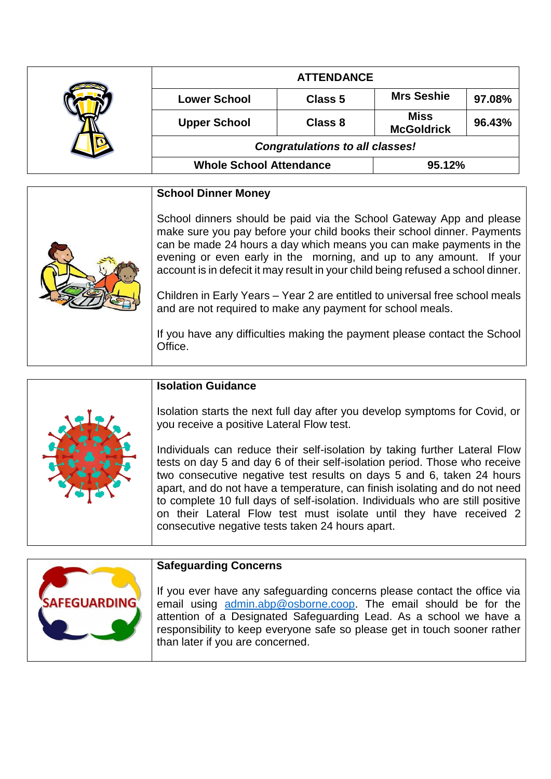|  | <b>ATTENDANCE</b>                      |         |                                  |        |
|--|----------------------------------------|---------|----------------------------------|--------|
|  | <b>Lower School</b>                    | Class 5 | <b>Mrs Seshie</b>                | 97.08% |
|  | <b>Upper School</b>                    | Class 8 | <b>Miss</b><br><b>McGoldrick</b> | 96.43% |
|  | <b>Congratulations to all classes!</b> |         |                                  |        |
|  | <b>Whole School Attendance</b>         |         | 95.12%                           |        |

| <b>School Dinner Money</b>                                                                                                                                                                                                                                                                                                                                                                                                                                                                                                                                                                                             |
|------------------------------------------------------------------------------------------------------------------------------------------------------------------------------------------------------------------------------------------------------------------------------------------------------------------------------------------------------------------------------------------------------------------------------------------------------------------------------------------------------------------------------------------------------------------------------------------------------------------------|
| School dinners should be paid via the School Gateway App and please<br>make sure you pay before your child books their school dinner. Payments<br>can be made 24 hours a day which means you can make payments in the<br>evening or even early in the morning, and up to any amount. If your<br>account is in defecit it may result in your child being refused a school dinner.<br>Children in Early Years - Year 2 are entitled to universal free school meals<br>and are not required to make any payment for school meals.<br>If you have any difficulties making the payment please contact the School<br>Office. |

|  | <b>Isolation Guidance</b>                                                                                                                                                                                                                                                                                                                                                                                                                                                                                                   |
|--|-----------------------------------------------------------------------------------------------------------------------------------------------------------------------------------------------------------------------------------------------------------------------------------------------------------------------------------------------------------------------------------------------------------------------------------------------------------------------------------------------------------------------------|
|  | Isolation starts the next full day after you develop symptoms for Covid, or<br>you receive a positive Lateral Flow test.                                                                                                                                                                                                                                                                                                                                                                                                    |
|  | Individuals can reduce their self-isolation by taking further Lateral Flow<br>tests on day 5 and day 6 of their self-isolation period. Those who receive<br>two consecutive negative test results on days 5 and 6, taken 24 hours<br>apart, and do not have a temperature, can finish isolating and do not need<br>to complete 10 full days of self-isolation. Individuals who are still positive<br>on their Lateral Flow test must isolate until they have received 2<br>consecutive negative tests taken 24 hours apart. |



## **Safeguarding Concerns**

If you ever have any safeguarding concerns please contact the office via email using [admin.abp@osborne.coop.](mailto:admin.abp@osborne.coop) The email should be for the attention of a Designated Safeguarding Lead. As a school we have a responsibility to keep everyone safe so please get in touch sooner rather than later if you are concerned.